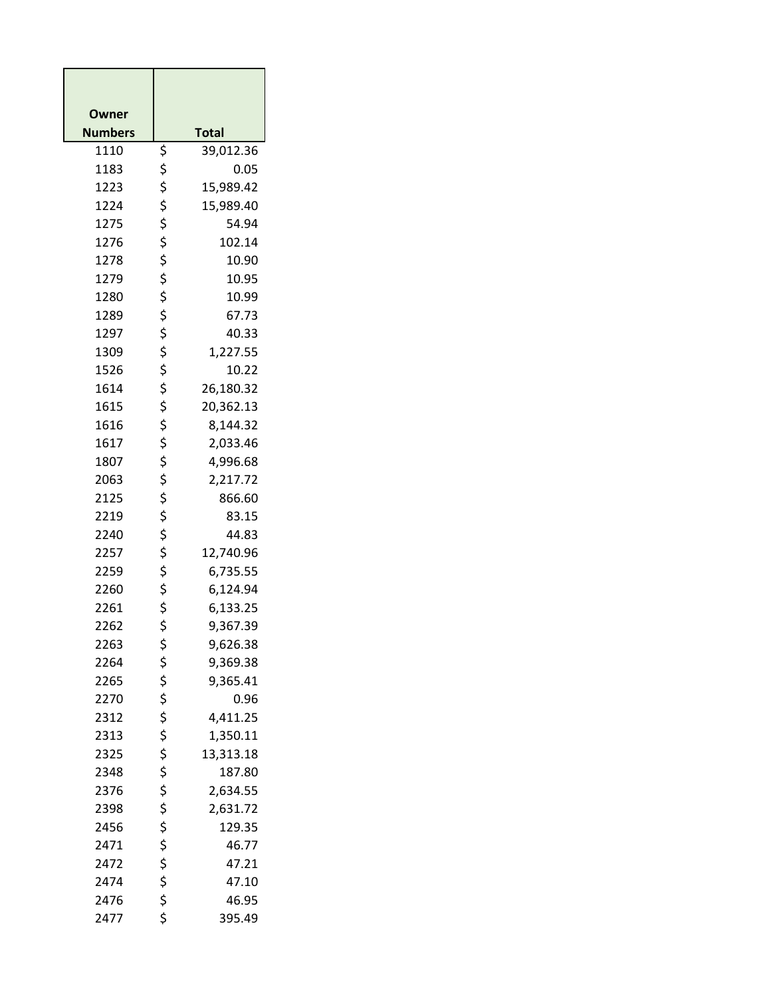| Owner          |          |                    |
|----------------|----------|--------------------|
| <b>Numbers</b> |          | <b>Total</b>       |
| 1110           | \$       | 39,012.36          |
| 1183           | \$       | 0.05               |
| 1223           | \$       | 15,989.42          |
| 1224           | \$       | 15,989.40          |
| 1275           | \$       | 54.94              |
| 1276           | \$       | 102.14             |
| 1278           | \$       | 10.90              |
| 1279           | \$       | 10.95              |
| 1280           | \$       | 10.99              |
| 1289           | \$       | 67.73              |
| 1297           | \$       | 40.33              |
| 1309           | \$       | 1,227.55           |
| 1526           | \$       | 10.22              |
| 1614           | \$       | 26,180.32          |
| 1615           | \$       | 20,362.13          |
| 1616           | \$       | 8,144.32           |
| 1617           | \$       | 2,033.46           |
| 1807           | \$       | 4,996.68           |
| 2063           | \$       | 2,217.72           |
| 2125           | \$       | 866.60             |
| 2219           | \$       | 83.15              |
| 2240           | \$       | 44.83              |
| 2257           | \$       | 12,740.96          |
| 2259           | \$       | 6,735.55           |
| 2260           | \$       | 6,124.94           |
| 2261           | \$       | 6,133.25           |
| 2262           | \$       | 9,367.39           |
| 2263           | \$       | 9,626.38           |
| 2264           | \$       | 9,369.38           |
| 2265           | \$       | 9,365.41           |
| 2270           | \$       | 0.96               |
| 2312           | \$       | 4,411.25           |
| 2313           | \$       | 1,350.11           |
| 2325           | \$<br>\$ | 13,313.18          |
| 2348<br>2376   | \$       | 187.80             |
|                | \$       | 2,634.55           |
| 2398<br>2456   | \$       | 2,631.72<br>129.35 |
| 2471           | \$       | 46.77              |
| 2472           | \$       | 47.21              |
| 2474           | \$       | 47.10              |
| 2476           | \$       | 46.95              |
| 2477           | \$       | 395.49             |
|                |          |                    |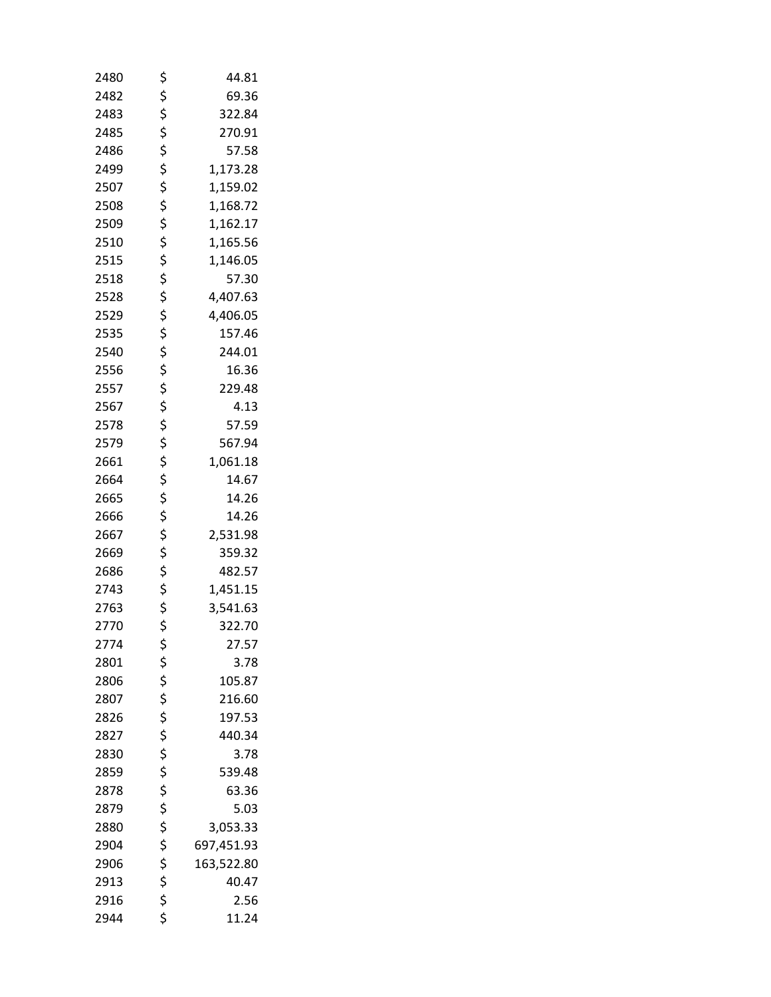| 2480 | \$       | 44.81      |
|------|----------|------------|
| 2482 | \$       | 69.36      |
| 2483 | \$       | 322.84     |
| 2485 | \$       | 270.91     |
| 2486 | \$       | 57.58      |
| 2499 | \$       | 1,173.28   |
| 2507 | \$       | 1,159.02   |
| 2508 | \$       | 1,168.72   |
| 2509 | \$       | 1,162.17   |
| 2510 | \$       | 1,165.56   |
| 2515 | \$       | 1,146.05   |
| 2518 |          | 57.30      |
| 2528 | \$<br>\$ | 4,407.63   |
| 2529 | \$       | 4,406.05   |
| 2535 | \$       | 157.46     |
| 2540 | \$       | 244.01     |
| 2556 |          | 16.36      |
| 2557 | \$<br>\$ | 229.48     |
| 2567 | \$       | 4.13       |
| 2578 | \$       | 57.59      |
| 2579 | \$       | 567.94     |
| 2661 | \$       | 1,061.18   |
| 2664 | \$       | 14.67      |
| 2665 | \$       | 14.26      |
| 2666 |          | 14.26      |
| 2667 | \$<br>\$ | 2,531.98   |
| 2669 |          | 359.32     |
| 2686 | \$<br>\$ | 482.57     |
| 2743 | \$       | 1,451.15   |
| 2763 | \$       | 3,541.63   |
| 2770 | \$       | 322.70     |
| 2774 | \$       | 27.57      |
| 2801 |          | 3.78       |
| 2806 |          | 105.87     |
| 2807 | \$\$\$   | 216.60     |
| 2826 |          | 197.53     |
| 2827 |          | 440.34     |
| 2830 |          | 3.78       |
| 2859 |          | 539.48     |
| 2878 |          | 63.36      |
| 2879 |          | 5.03       |
| 2880 |          | 3,053.33   |
| 2904 |          | 697,451.93 |
| 2906 | ぐうさくさい   | 163,522.80 |
| 2913 |          | 40.47      |
| 2916 | \$       | 2.56       |
| 2944 | \$       | 11.24      |
|      |          |            |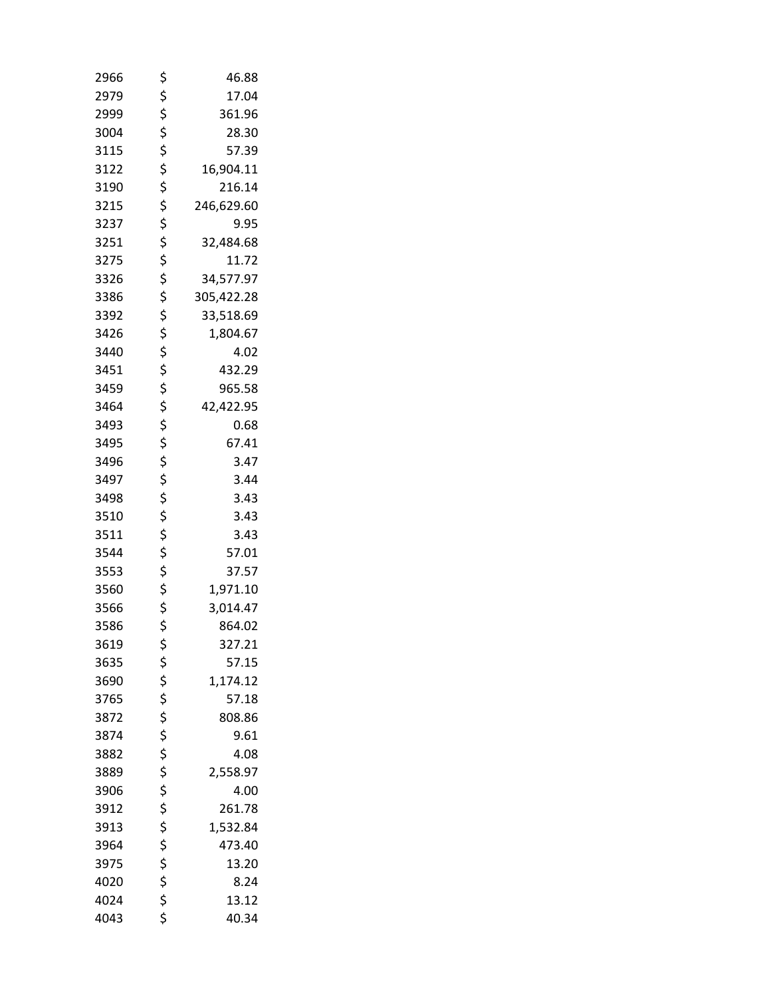| 2966 | \$       | 46.88      |
|------|----------|------------|
| 2979 | \$       | 17.04      |
| 2999 |          | 361.96     |
| 3004 | \$<br>\$ | 28.30      |
| 3115 | \$       | 57.39      |
| 3122 | \$       | 16,904.11  |
| 3190 | \$       | 216.14     |
| 3215 | \$       | 246,629.60 |
| 3237 | \$       | 9.95       |
| 3251 | \$       | 32,484.68  |
| 3275 | \$       | 11.72      |
| 3326 |          | 34,577.97  |
| 3386 | \$<br>\$ | 305,422.28 |
| 3392 | \$       | 33,518.69  |
| 3426 | \$       | 1,804.67   |
| 3440 | \$       | 4.02       |
| 3451 |          | 432.29     |
| 3459 | \$<br>\$ | 965.58     |
| 3464 | \$       | 42,422.95  |
| 3493 | \$       | 0.68       |
| 3495 | \$       | 67.41      |
| 3496 | \$       | 3.47       |
| 3497 | \$       | 3.44       |
| 3498 | \$       | 3.43       |
| 3510 | \$       | 3.43       |
| 3511 | \$       | 3.43       |
| 3544 | \$       | 57.01      |
| 3553 | .<br>\$  | 37.57      |
| 3560 |          | 1,971.10   |
| 3566 | \$<br>\$ | 3,014.47   |
| 3586 | \$       | 864.02     |
| 3619 | \$       | 327.21     |
| 3635 |          | 57.15      |
| 3690 | \$\$\$   | 1,174.12   |
| 3765 |          | 57.18      |
| 3872 |          | 808.86     |
| 3874 |          | 9.61       |
| 3882 |          | 4.08       |
| 3889 |          | 2,558.97   |
| 3906 |          | 4.00       |
| 3912 |          | 261.78     |
| 3913 |          | 1,532.84   |
| 3964 |          | 473.40     |
| 3975 | さささささささ  | 13.20      |
| 4020 |          | 8.24       |
| 4024 | \$       | 13.12      |
| 4043 | \$       | 40.34      |
|      |          |            |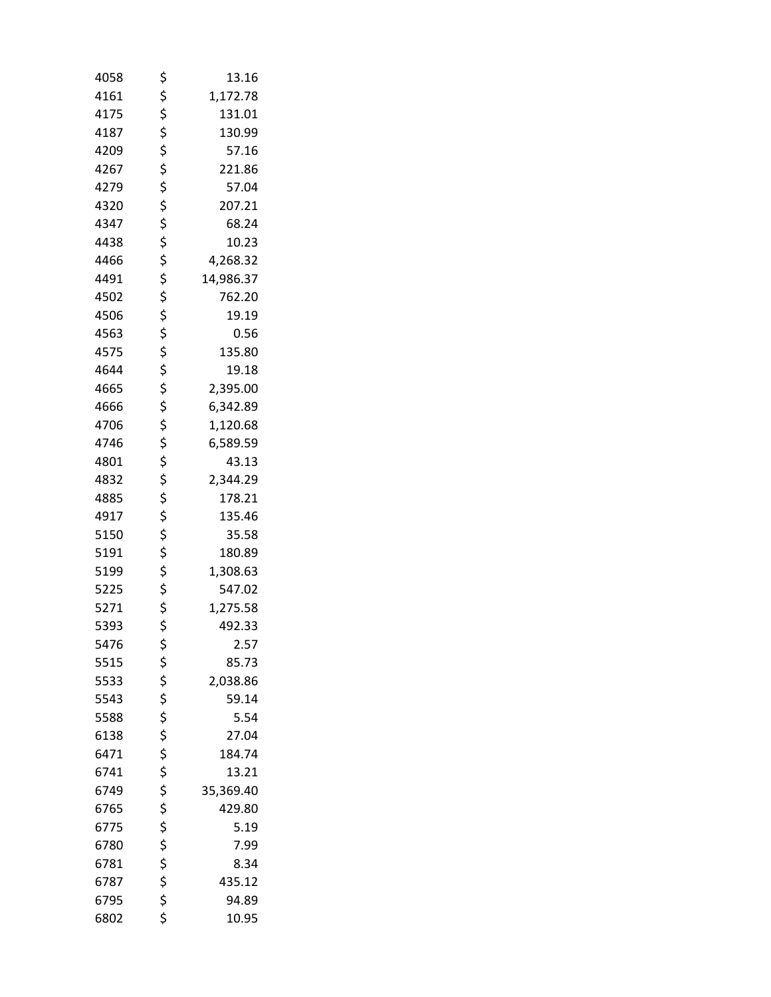| 4058 | \$       | 13.16     |
|------|----------|-----------|
| 4161 | \$       | 1,172.78  |
| 4175 | \$       | 131.01    |
| 4187 | \$       | 130.99    |
| 4209 | \$       | 57.16     |
| 4267 | \$       | 221.86    |
| 4279 | \$       | 57.04     |
| 4320 | \$       | 207.21    |
| 4347 | \$       | 68.24     |
| 4438 | \$       | 10.23     |
| 4466 | \$       | 4,268.32  |
| 4491 | \$       | 14,986.37 |
| 4502 | \$       | 762.20    |
| 4506 | \$       | 19.19     |
| 4563 | \$       | 0.56      |
| 4575 | \$       | 135.80    |
| 4644 | \$       | 19.18     |
| 4665 | \$       | 2,395.00  |
| 4666 | \$       | 6,342.89  |
| 4706 | \$       | 1,120.68  |
| 4746 | \$       | 6,589.59  |
| 4801 | \$       | 43.13     |
| 4832 | \$       | 2,344.29  |
| 4885 | \$       | 178.21    |
| 4917 | \$       | 135.46    |
| 5150 | \$       | 35.58     |
| 5191 | \$       | 180.89    |
| 5199 | \$       | 1,308.63  |
| 5225 | \$       | 547.02    |
| 5271 | \$       | 1,275.58  |
| 5393 | \$       | 492.33    |
| 5476 | \$       | 2.57      |
| 5515 | \$       | 85.73     |
| 5533 | \$       | 2,038.86  |
| 5543 |          | 59.14     |
| 5588 | \$<br>\$ | 5.54      |
| 6138 | \$       | 27.04     |
| 6471 | \$       | 184.74    |
| 6741 | \$       | 13.21     |
| 6749 | \$       | 35,369.40 |
| 6765 | \$       | 429.80    |
| 6775 | \$       | 5.19      |
| 6780 |          | 7.99      |
| 6781 | \$\$\$   | 8.34      |
| 6787 |          | 435.12    |
| 6795 | \$       | 94.89     |
| 6802 | \$       | 10.95     |
|      |          |           |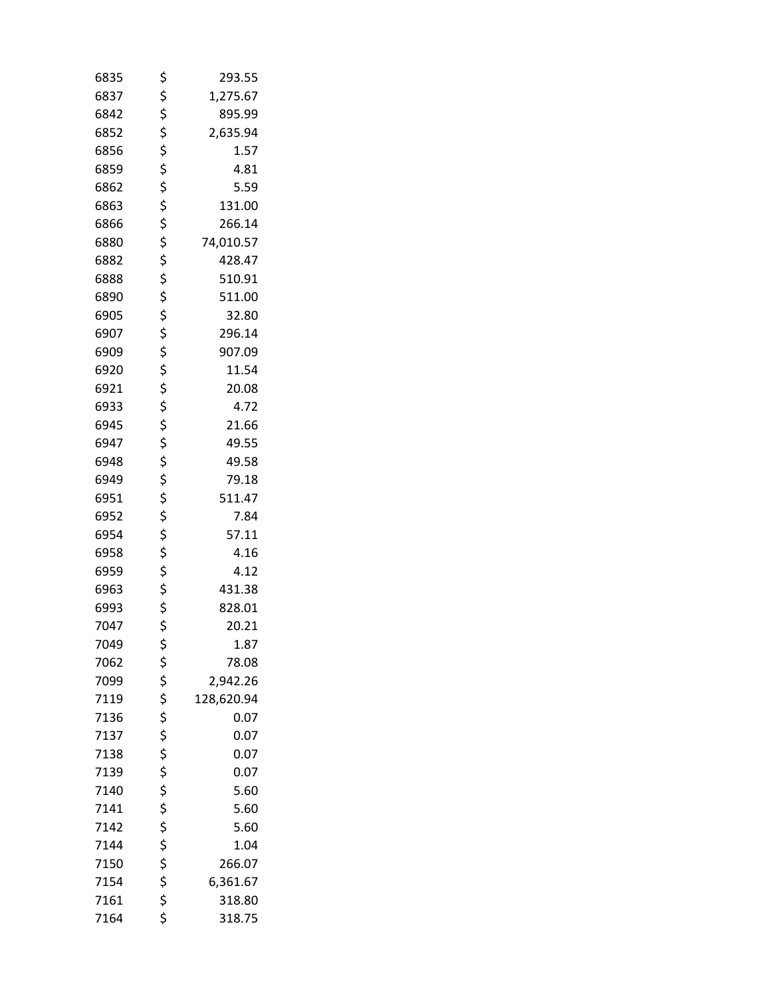| 6835 | \$<br>293.55     |  |
|------|------------------|--|
| 6837 | \$<br>1,275.67   |  |
| 6842 | \$<br>895.99     |  |
| 6852 | \$<br>2,635.94   |  |
| 6856 | \$<br>1.57       |  |
| 6859 | \$<br>4.81       |  |
| 6862 | \$<br>5.59       |  |
| 6863 | \$<br>131.00     |  |
| 6866 | \$<br>266.14     |  |
| 6880 | \$<br>74,010.57  |  |
| 6882 | \$<br>428.47     |  |
| 6888 | \$<br>510.91     |  |
| 6890 | \$<br>511.00     |  |
| 6905 | \$<br>32.80      |  |
| 6907 | \$<br>296.14     |  |
| 6909 | \$<br>907.09     |  |
| 6920 | \$<br>11.54      |  |
| 6921 | \$<br>20.08      |  |
| 6933 | \$<br>4.72       |  |
| 6945 | \$<br>21.66      |  |
| 6947 | \$<br>49.55      |  |
| 6948 | \$<br>49.58      |  |
| 6949 | \$<br>79.18      |  |
| 6951 | \$<br>511.47     |  |
| 6952 | \$<br>7.84       |  |
| 6954 | \$<br>57.11      |  |
| 6958 | \$<br>4.16       |  |
| 6959 | \$<br>4.12       |  |
| 6963 | \$<br>431.38     |  |
| 6993 | \$<br>828.01     |  |
| 7047 | \$<br>20.21      |  |
| 7049 | \$<br>1.87       |  |
| 7062 | \$<br>78.08      |  |
| 7099 | \$<br>2,942.26   |  |
| 7119 | \$<br>128,620.94 |  |
| 7136 | \$<br>0.07       |  |
| 7137 | \$<br>0.07       |  |
| 7138 | \$<br>0.07       |  |
| 7139 | \$<br>0.07       |  |
| 7140 | \$<br>5.60       |  |
| 7141 | \$<br>5.60       |  |
| 7142 | \$<br>5.60       |  |
| 7144 | \$<br>1.04       |  |
| 7150 | \$<br>266.07     |  |
| 7154 | \$<br>6,361.67   |  |
| 7161 | \$<br>318.80     |  |
| 7164 | \$<br>318.75     |  |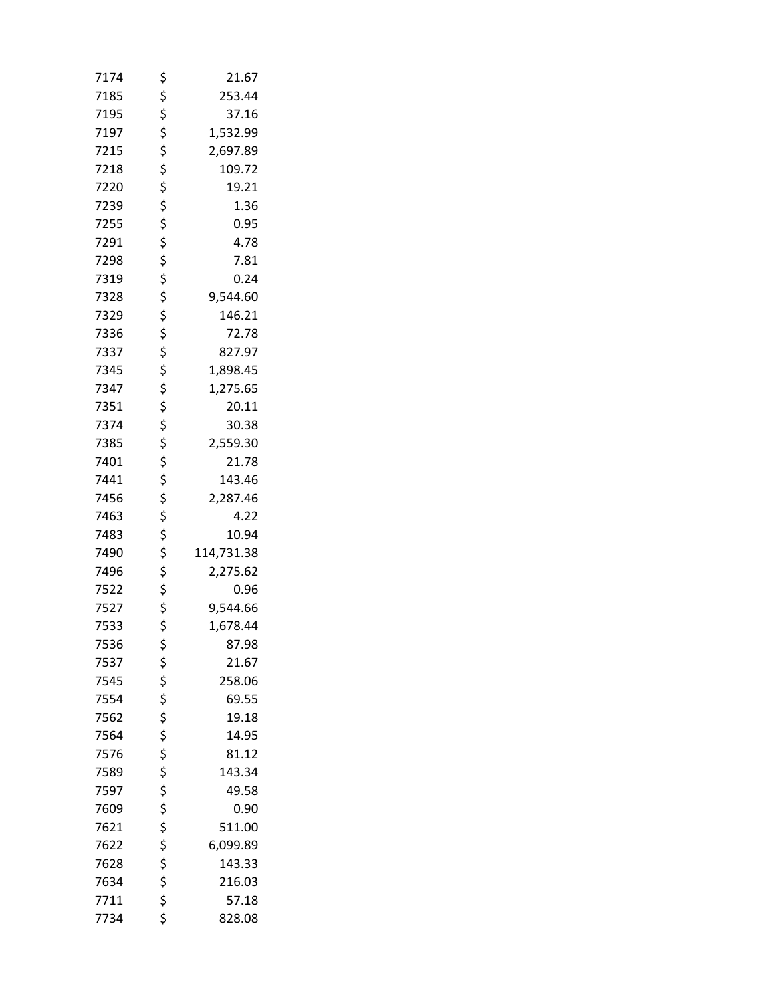| 7174 | \$       | 21.67      |
|------|----------|------------|
| 7185 | \$       | 253.44     |
| 7195 | \$       | 37.16      |
| 7197 | \$       | 1,532.99   |
| 7215 | \$       | 2,697.89   |
| 7218 | \$       | 109.72     |
| 7220 | \$       | 19.21      |
| 7239 | \$       | 1.36       |
| 7255 | \$       | 0.95       |
| 7291 | \$       | 4.78       |
| 7298 | \$       | 7.81       |
| 7319 | \$       | 0.24       |
| 7328 | \$       | 9,544.60   |
| 7329 | \$       | 146.21     |
| 7336 | \$       | 72.78      |
| 7337 | \$       | 827.97     |
| 7345 | \$       | 1,898.45   |
| 7347 | \$       | 1,275.65   |
| 7351 | \$       | 20.11      |
| 7374 | \$       | 30.38      |
| 7385 | \$       | 2,559.30   |
| 7401 | \$       | 21.78      |
| 7441 | \$       | 143.46     |
| 7456 | \$       | 2,287.46   |
| 7463 | \$       | 4.22       |
| 7483 | \$       | 10.94      |
| 7490 | \$       | 114,731.38 |
| 7496 | \$       | 2,275.62   |
| 7522 |          | 0.96       |
| 7527 | \$<br>\$ | 9,544.66   |
| 7533 | \$       | 1,678.44   |
| 7536 | \$       | 87.98      |
| 7537 |          | 21.67      |
| 7545 |          | 258.06     |
| 7554 |          | 69.55      |
| 7562 |          | 19.18      |
| 7564 |          | 14.95      |
| 7576 | ぐぐぐ ぐぐぐ  | 81.12      |
| 7589 |          | 143.34     |
| 7597 |          | 49.58      |
| 7609 |          | 0.90       |
| 7621 |          | 511.00     |
| 7622 | \$\$\$\$ | 6,099.89   |
| 7628 |          | 143.33     |
| 7634 |          | 216.03     |
| 7711 | \$       | 57.18      |
| 7734 | \$       | 828.08     |
|      |          |            |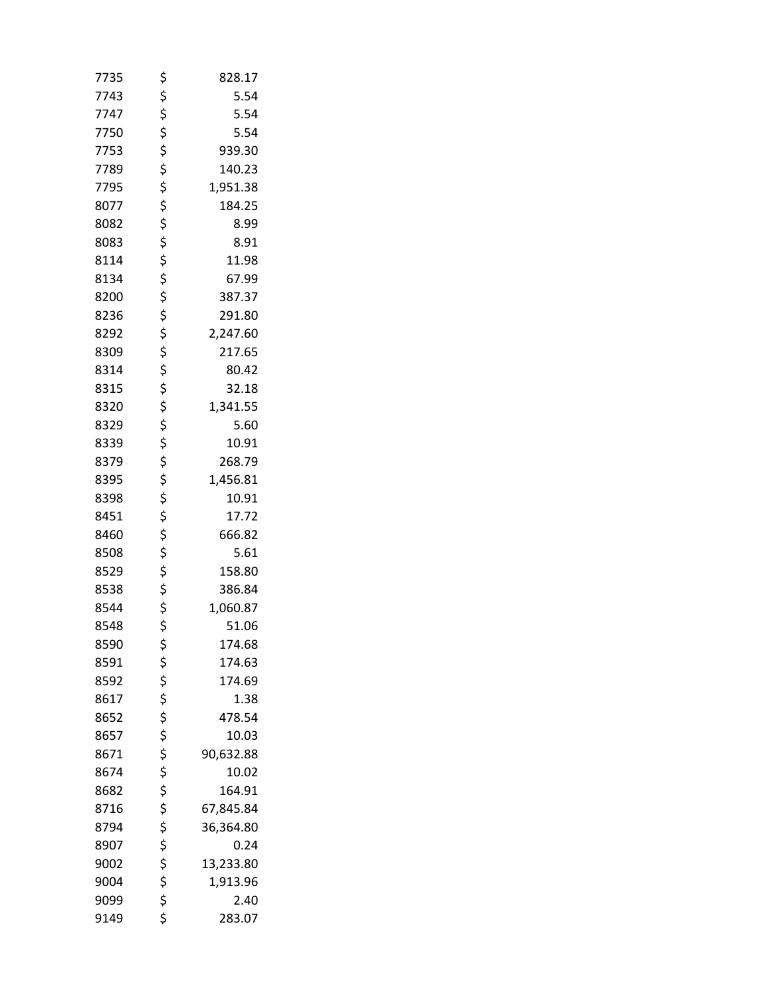| 7735 | \$            | 828.17    |
|------|---------------|-----------|
| 7743 | \$            | 5.54      |
| 7747 | \$            | 5.54      |
| 7750 | \$            | 5.54      |
| 7753 | \$            | 939.30    |
| 7789 | \$            | 140.23    |
| 7795 | \$            | 1,951.38  |
| 8077 | $\frac{1}{5}$ | 184.25    |
| 8082 | \$            | 8.99      |
| 8083 | \$            | 8.91      |
| 8114 | \$            | 11.98     |
| 8134 | \$            | 67.99     |
| 8200 | \$            | 387.37    |
| 8236 | \$            | 291.80    |
| 8292 | \$            | 2,247.60  |
| 8309 | \$            | 217.65    |
| 8314 | \$            | 80.42     |
| 8315 | \$            | 32.18     |
| 8320 | \$            | 1,341.55  |
| 8329 | \$            | 5.60      |
| 8339 | \$            | 10.91     |
| 8379 | \$            | 268.79    |
| 8395 | \$            | 1,456.81  |
| 8398 | \$            | 10.91     |
| 8451 | \$            | 17.72     |
| 8460 | \$\$\$        | 666.82    |
| 8508 |               | 5.61      |
| 8529 |               | 158.80    |
| 8538 | \$            | 386.84    |
| 8544 | \$            | 1,060.87  |
| 8548 | \$            | 51.06     |
| 8590 | \$            | 174.68    |
| 8591 | \$            | 174.63    |
| 8592 | \$<br>\$      | 174.69    |
| 8617 |               | 1.38      |
| 8652 | \$            | 478.54    |
| 8657 | \$            | 10.03     |
| 8671 | \$<br>\$      | 90,632.88 |
| 8674 |               | 10.02     |
| 8682 | \$            | 164.91    |
| 8716 | \$            | 67,845.84 |
| 8794 | \$            | 36,364.80 |
| 8907 | さらさ           | 0.24      |
| 9002 |               | 13,233.80 |
| 9004 |               | 1,913.96  |
| 9099 |               | 2.40      |
| 9149 | \$            | 283.07    |